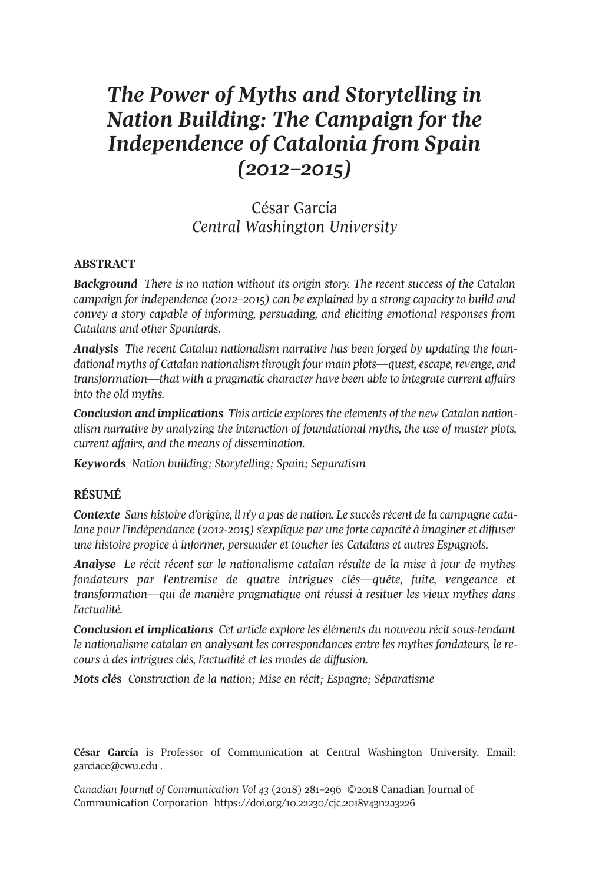# *The Power of Myths and Storytelling in Nation Building: The Campaign for the Independence of Catalonia from Spain (2012–2015)*

César García *Central Washington University*

#### **ABSTRACT**

*Background There is no nation without its origin story. The recent success of the Catalan campaign for independence (2012–2015) can be explained by a strong capacity to build and convey a story capable of informing, persuading, and eliciting emotional responses from Catalans and other Spaniards.*

*Analysis The recent Catalan nationalism narrative has been forged by updating the foundational myths of Catalan nationalism through four main plots—quest, escape,revenge, and transformation—that with a pragmatic character have been able to integrate current affairs into the old myths.*

*Conclusion and implications This article exploresthe elements of the new Catalan nationalism narrative by analyzing the interaction of foundational myths, the use of master plots, current affairs, and the means of dissemination.*

*Keywords Nation building; Storytelling; Spain; Separatism*

#### **RÉSUMÉ**

*Contexte* Sans histoire *d'origine*, *il n'y a pas de nation. Le succès récent de la campagne catalane pourl'indépendance (2012-2015) s'explique par une forte capacité à imaginer et diffuser une histoire propice à informer, persuader et toucher les Catalans et autres Espagnols.*

*Analyse Le récit récent sur le nationalisme catalan résulte de la mise à jour de mythes fondateurs par l'entremise de quatre intrigues clés—quête, fuite, vengeance et transformation—qui de manière pragmatique ont réussi à resituer les vieux mythes dans l'actualité.*

*Conclusion et implications Cet article explore les éléments du nouveau récit sous-tendant le nationalisme catalan en analysant les correspondances entre les mythes fondateurs, le recours à des intrigues clés, l'actualité et les modes de diffusion.*

*Mots clés Construction de la nation; Mise en récit; Espagne; Séparatisme*

**César García** is Professor of Communication at Central Washington University. Email: [garciace@cwu.edu](mailto:garciace@cwu.edu) .

*Canadian Journal of [Communication](http://www.cjc-online.ca) Vol 43* (2018) 281–296 ©2018 Canadian Journal of Communication Corporation <https://doi.org/10.22230/cjc.2018v43n2a3226>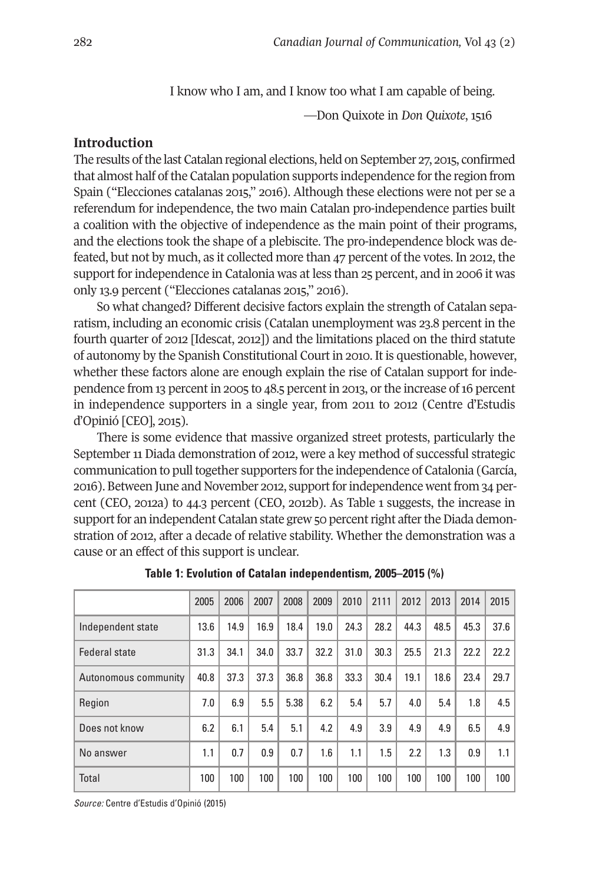I know who I am, and I know too what I am capable of being.

—Don Quixote in *Don Quixote*, 1516

# **Introduction**

The results ofthe last Catalan regional elections, held on September 27, 2015, confirmed that almost half of the Catalan population supports independence for the region from Spain ("Elecciones catalanas 2015," 2016). Although these elections were not per se a referendum for independence, the two main Catalan pro-independence parties built a coalition with the objective of independence as the main point of their programs, and the elections took the shape of a plebiscite. The pro-independence block was defeated, but not by much, as it collected more than 47 percent of the votes. In 2012, the support for independence in Catalonia was at less than 25 percent, and in 2006 it was only 13.9 percent ("Elecciones catalanas 2015," 2016).

So what changed? Different decisive factors explain the strength of Catalan separatism, including an economic crisis (Catalan unemployment was 23.8 percent in the fourth quarter of 2012 [Idescat, 2012]) and the limitations placed on the third statute of autonomy by the Spanish Constitutional Court in 2010. It is questionable, however, whether these factors alone are enough explain the rise of Catalan support for independence from 13 percent in 2005 to 48.5 percent in 2013, orthe increase of16 percent in independence supporters in a single year, from 2011 to 2012 (Centre d'Estudis d'Opinió [CEO], 2015).

There is some evidence that massive organized street protests, particularly the September 11 Diada demonstration of 2012, were a key method of successful strategic communication to pull together supporters for the independence of Catalonia (García, 2016). Between June and November 2012, supportforindependence wentfrom 34 percent (CEO, 2012a) to 44.3 percent (CEO, 2012b). As Table 1 suggests, the increase in support for an independent Catalan state grew 50 percent right after the Diada demonstration of 2012, after a decade of relative stability. Whether the demonstration was a cause or an effect of this support is unclear.

|                      | 2005 | 2006 | 2007 | 2008 | 2009 | 2010 | 2111 | 2012 | 2013 | 2014 | 2015 |
|----------------------|------|------|------|------|------|------|------|------|------|------|------|
| Independent state    | 13.6 | 14.9 | 16.9 | 18.4 | 19.0 | 24.3 | 28.2 | 44.3 | 48.5 | 45.3 | 37.6 |
| <b>Federal state</b> | 31.3 | 34.1 | 34.0 | 33.7 | 32.2 | 31.0 | 30.3 | 25.5 | 21.3 | 22.2 | 22.2 |
| Autonomous community | 40.8 | 37.3 | 37.3 | 36.8 | 36.8 | 33.3 | 30.4 | 19.1 | 18.6 | 23.4 | 29.7 |
| Region               | 7.0  | 6.9  | 5.5  | 5.38 | 6.2  | 5.4  | 5.7  | 4.0  | 5.4  | 1.8  | 4.5  |
| Does not know        | 6.2  | 6.1  | 5.4  | 5.1  | 4.2  | 4.9  | 3.9  | 4.9  | 4.9  | 6.5  | 4.9  |
| No answer            | 1.1  | 0.7  | 0.9  | 0.7  | 1.6  | 1.1  | 1.5  | 2.2  | 1.3  | 0.9  | 1.1  |
| Total                | 100  | 100  | 100  | 100  | 100  | 100  | 100  | 100  | 100  | 100  | 100  |

**Table 1: Evolution of Catalan independentism, 2005–2015 (%)**

*Source:* Centre d'Estudis d'Opinió (2015)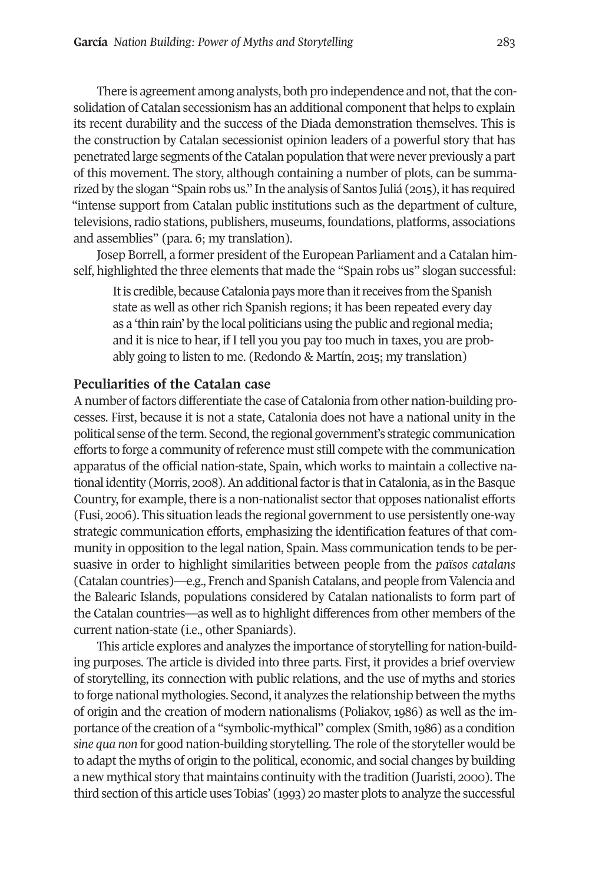There is agreement among analysts, both pro independence and not, that the consolidation of Catalan secessionism has an additional component that helps to explain its recent durability and the success of the Diada demonstration themselves. This is the construction by Catalan secessionist opinion leaders of a powerful story that has penetrated large segments ofthe Catalan population that were never previously a part of this movement. The story, although containing a number of plots, can be summarized by the slogan "Spain robs us." In the analysis of Santos Juliá (2015), it has required "intense support from Catalan public institutions such as the department of culture, televisions, radio stations, publishers, museums, foundations, platforms, associations and assemblies" (para. 6; my translation).

Josep Borrell, a former president of the European Parliament and a Catalan himself, highlighted the three elements that made the "Spain robs us" slogan successful:

It is credible, because Catalonia pays more than it receives from the Spanish state as well as other rich Spanish regions; it has been repeated every day as a 'thin rain' by the local politicians using the public and regional media; and it is nice to hear, if I tell you you pay too much in taxes, you are probably going to listen to me. (Redondo & Martín, 2015; my translation)

# **Peculiarities of the Catalan case**

Anumber of factors differentiate the case of Catalonia from other nation-building processes. First, because it is not a state, Catalonia does not have a national unity in the political sense of the term. Second, the regional government's strategic communication efforts to forge a community ofreference must still compete with the communication apparatus of the official nation-state, Spain, which works to maintain a collective national identity (Morris, 2008). An additional factor is that in Catalonia, as in the Basque Country, for example, there is a non-nationalist sectorthat opposes nationalist efforts (Fusi, 2006). This situation leads the regional government to use persistently one-way strategic communication efforts, emphasizing the identification features of that community in opposition to the legal nation, Spain. Mass communication tends to be persuasive in order to highlight similarities between people from the *països catalans* (Catalan countries)—e.g., French and Spanish Catalans, and people from Valencia and the Balearic Islands, populations considered by Catalan nationalists to form part of the Catalan countries—as well as to highlight differences from other members of the current nation-state (i.e., other Spaniards).

This article explores and analyzes the importance of storytelling for nation-building purposes. The article is divided into three parts. First, it provides a brief overview of storytelling, its connection with public relations, and the use of myths and stories to forge national mythologies. Second, it analyzes the relationship between the myths of origin and the creation of modern nationalisms (Poliakov, 1986) as well as the importance of the creation of a "symbolic-mythical" complex (Smith, 1986) as a condition *sine qua non* for good nation-building storytelling. The role of the storyteller would be to adapt the myths of origin to the political, economic, and social changes by building a new mythical story that maintains continuity with the tradition (Juaristi, 2000). The third section ofthis article uses Tobias' (1993) 20 master plots to analyze the successful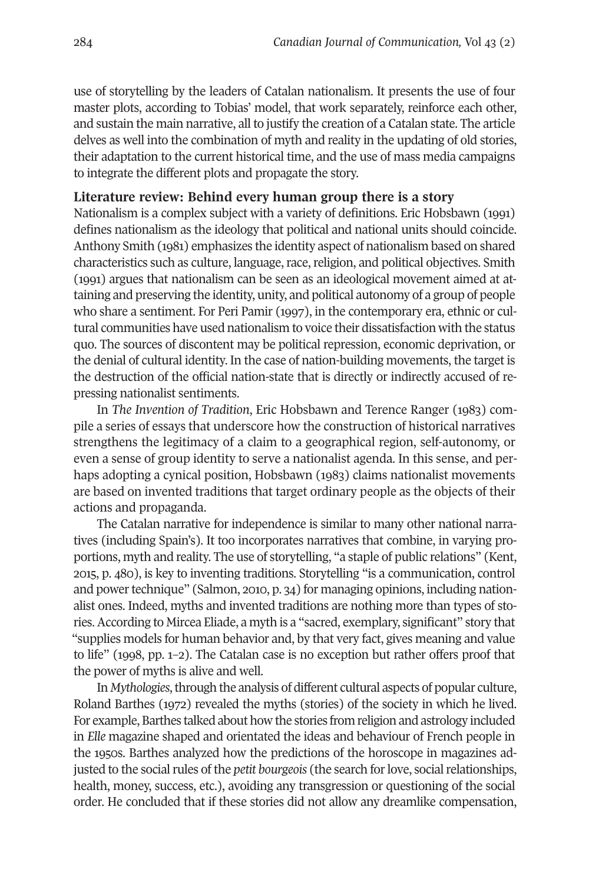use of storytelling by the leaders of Catalan nationalism. It presents the use of four master plots, according to Tobias' model, that work separately, reinforce each other, and sustain the main narrative, all to justify the creation of a Catalan state. The article delves as well into the combination of myth and reality in the updating of old stories, their adaptation to the current historical time, and the use of mass media campaigns to integrate the different plots and propagate the story.

## **Literature review: Behind every human group there is a story**

Nationalism is a complex subject with a variety of definitions. Eric Hobsbawn (1991) defines nationalism as the ideology that political and national units should coincide. Anthony Smith (1981) emphasizes the identity aspect of nationalism based on shared characteristics such as culture, language, race, religion, and political objectives. Smith (1991) argues that nationalism can be seen as an ideological movement aimed at attaining and preserving the identity, unity, and political autonomy of a group of people who share a sentiment. For Peri Pamir (1997), in the contemporary era, ethnic or cultural communities have used nationalism to voice their dissatisfaction with the status quo. The sources of discontent may be political repression, economic deprivation, or the denial of cultural identity. In the case of nation-building movements, the target is the destruction of the official nation-state that is directly or indirectly accused of repressing nationalist sentiments.

In *The Invention of Tradition*, Eric Hobsbawn and Terence Ranger (1983) compile a series of essays that underscore how the construction of historical narratives strengthens the legitimacy of a claim to a geographical region, self-autonomy, or even a sense of group identity to serve a nationalist agenda. In this sense, and perhaps adopting a cynical position, Hobsbawn (1983) claims nationalist movements are based on invented traditions that target ordinary people as the objects of their actions and propaganda.

The Catalan narrative for independence is similar to many other national narratives (including Spain's). It too incorporates narratives that combine, in varying proportions, myth and reality. The use of storytelling, "a staple of public relations" (Kent, 2015, p. 480), is key to inventing traditions. Storytelling "is a communication, control and power technique" (Salmon, 2010, p. 34) for managing opinions, including nationalist ones. Indeed, myths and invented traditions are nothing more than types of stories.According to Mircea Eliade, a myth is a "sacred, exemplary, significant" story that "supplies models for human behavior and, by that very fact, gives meaning and value to life" (1998, pp. 1–2). The Catalan case is no exception but rather offers proof that the power of myths is alive and well.

In *Mythologies*, through the analysis of different cultural aspects of popular culture, Roland Barthes (1972) revealed the myths (stories) of the society in which he lived. For example, Barthes talked about how the stories from religion and astrology included in *Elle* magazine shaped and orientated the ideas and behaviour of French people in the 1950s. Barthes analyzed how the predictions of the horoscope in magazines adjusted to the social rules of the *petit bourgeois* (the search for love, social relationships, health, money, success, etc.), avoiding any transgression or questioning of the social order. He concluded that if these stories did not allow any dreamlike compensation,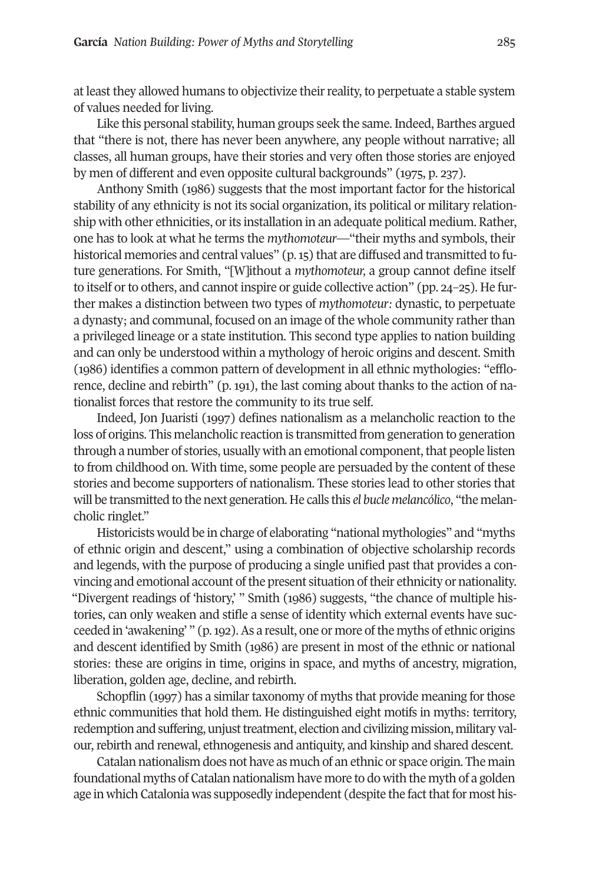at least they allowed humans to objectivize their reality, to perpetuate a stable system of values needed for living.

Like this personal stability, human groups seek the same. Indeed, Barthes argued that "there is not, there has never been anywhere, any people without narrative; all classes, all human groups, have their stories and very often those stories are enjoyed by men of different and even opposite cultural backgrounds" (1975, p. 237).

Anthony Smith (1986) suggests that the most important factor for the historical stability of any ethnicity is not its social organization, its political or military relationship with other ethnicities, or its installation in an adequate political medium. Rather, one has to look at what he terms the *mythomoteur*—"their myths and symbols, their historical memories and central values" (p. 15) that are diffused and transmitted to future generations. For Smith, "[W]ithout a *mythomoteur,* a group cannot define itself to itself or to others, and cannot inspire or guide collective action" (pp. 24-25). He further makes a distinction between two types of *mythomoteur:* dynastic, to perpetuate a dynasty; and communal, focused on an image of the whole community ratherthan a privileged lineage or a state institution. This second type applies to nation building and can only be understood within a mythology of heroic origins and descent. Smith (1986) identifies a common pattern of development in all ethnic mythologies: "efflorence, decline and rebirth" (p. 191), the last coming about thanks to the action of nationalist forces that restore the community to its true self.

Indeed, Jon Juaristi (1997) defines nationalism as a melancholic reaction to the loss of origins. This melancholic reaction is transmitted from generation to generation through a number of stories, usually with an emotional component, that people listen to from childhood on. With time, some people are persuaded by the content of these stories and become supporters of nationalism. These stories lead to other stories that will be transmitted to the next generation. He calls this *el bucle melancólico*, "the melancholic ringlet."

Historicists would be in charge of elaborating "national mythologies" and "myths of ethnic origin and descent," using a combination of objective scholarship records and legends, with the purpose of producing a single unified past that provides a convincing and emotional account of the present situation of their ethnicity or nationality. "Divergent readings of 'history,' " Smith (1986) suggests, "the chance of multiple histories, can only weaken and stifle a sense of identity which external events have succeeded in 'awakening' " (p. 192). As a result, one or more of the myths of ethnic origins and descent identified by Smith (1986) are present in most of the ethnic or national stories: these are origins in time, origins in space, and myths of ancestry, migration, liberation, golden age, decline, and rebirth.

Schopflin (1997) has a similar taxonomy of myths that provide meaning for those ethnic communities that hold them. He distinguished eight motifs in myths: territory, redemption and suffering, unjust treatment, election and civilizing mission, military valour, rebirth and renewal, ethnogenesis and antiquity, and kinship and shared descent.

Catalan nationalism does not have as much of an ethnic or space origin. The main foundational myths of Catalan nationalism have more to do with the myth of a golden age in which Catalonia was supposedly independent (despite the fact that for most his-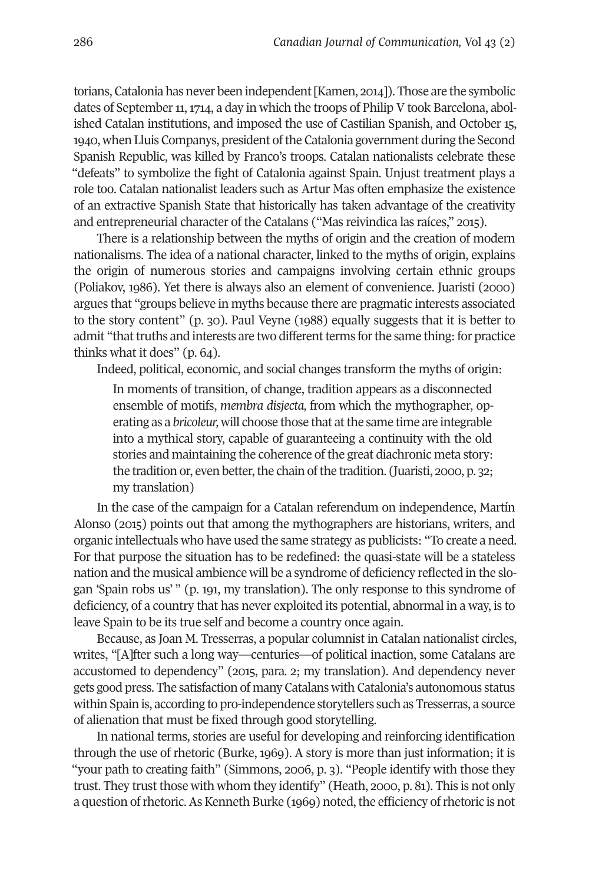torians, Catalonia has never been independent[Kamen, 2014]). Those are the symbolic dates of September 11, 1714, a day in which the troops of Philip V took Barcelona, abolished Catalan institutions, and imposed the use of Castilian Spanish, and October 15, 1940, when Lluis Companys, president ofthe Catalonia government during the Second Spanish Republic, was killed by Franco's troops. Catalan nationalists celebrate these "defeats" to symbolize the fight of Catalonia against Spain. Unjust treatment plays a role too. Catalan nationalist leaders such as Artur Mas often emphasize the existence of an extractive Spanish State that historically has taken advantage of the creativity and entrepreneurial character of the Catalans ("Mas reivindica las raíces," 2015).

There is a relationship between the myths of origin and the creation of modern nationalisms. The idea of a national character, linked to the myths of origin, explains the origin of numerous stories and campaigns involving certain ethnic groups (Poliakov, 1986). Yet there is always also an element of convenience. Juaristi (2000) argues that "groups believe in myths because there are pragmatic interests associated to the story content" (p. 30). Paul Veyne (1988) equally suggests that it is better to admit "that truths and interests are two different terms for the same thing: for practice thinks what it does" (p. 64).

Indeed, political, economic, and social changes transform the myths of origin:

In moments of transition, of change, tradition appears as a disconnected ensemble of motifs, *membra disjecta,* from which the mythographer, operating as a *bricoleur,* will choose those that atthe same time are integrable into a mythical story, capable of guaranteeing a continuity with the old stories and maintaining the coherence of the great diachronic meta story: the tradition or, even better, the chain of the tradition. (Juaristi, 2000, p. 32; my translation)

In the case of the campaign for a Catalan referendum on independence, Martín Alonso (2015) points out that among the mythographers are historians, writers, and organic intellectuals who have used the same strategy as publicists: "To create a need. For that purpose the situation has to be redefined: the quasi-state will be a stateless nation and the musical ambience will be a syndrome of deficiency reflected in the slogan 'Spain robs us' " (p. 191, my translation). The only response to this syndrome of deficiency, of a country that has never exploited its potential, abnormal in a way, is to leave Spain to be its true self and become a country once again.

Because, as Joan M. Tresserras, a popular columnist in Catalan nationalist circles, writes, "[A]fter such a long way—centuries—of political inaction, some Catalans are accustomed to dependency" (2015, para. 2; my translation). And dependency never gets good press. The satisfaction of many Catalans with Catalonia's autonomous status within Spain is, according to pro-independence storytellers such as Tresserras, a source of alienation that must be fixed through good storytelling.

In national terms, stories are useful for developing and reinforcing identification through the use of rhetoric (Burke, 1969). A story is more than just information; it is "your path to creating faith" (Simmons, 2006, p. 3). "People identify with those they trust. They trust those with whom they identify" (Heath, 2000, p. 81). This is not only a question of rhetoric. As Kenneth Burke (1969) noted, the efficiency of rhetoric is not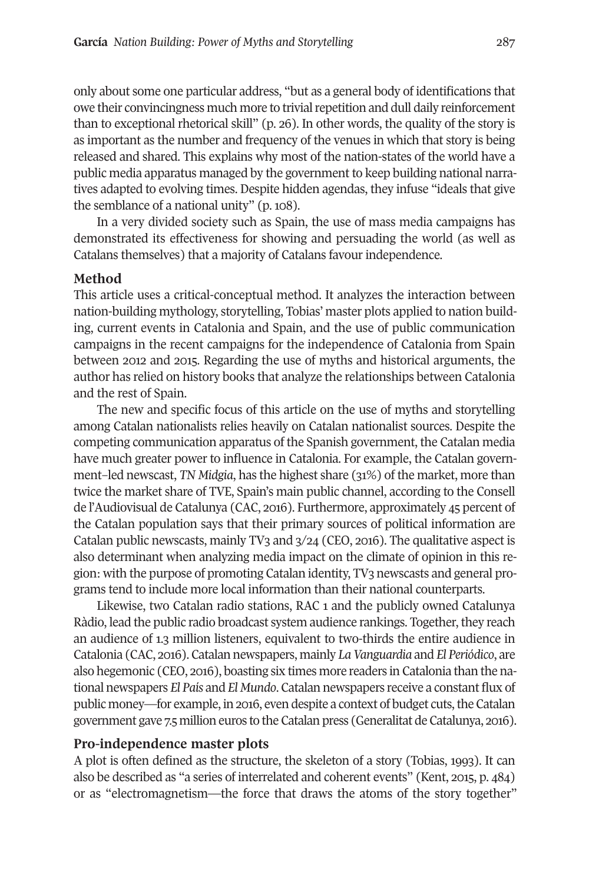only about some one particular address, "but as a general body of identifications that owe their convincingness much more to trivial repetition and dull daily reinforcement than to exceptional rhetorical skill" (p. 26). In other words, the quality of the story is as important as the number and frequency of the venues in which that story is being released and shared. This explains why most of the nation-states of the world have a public media apparatus managed by the government to keep building national narratives adapted to evolving times. Despite hidden agendas, they infuse "ideals that give the semblance of a national unity" (p. 108).

In a very divided society such as Spain, the use of mass media campaigns has demonstrated its effectiveness for showing and persuading the world (as well as Catalans themselves) that a majority of Catalans favour independence.

## **Method**

This article uses a critical-conceptual method. It analyzes the interaction between nation-building mythology, storytelling, Tobias' master plots applied to nation building, current events in Catalonia and Spain, and the use of public communication campaigns in the recent campaigns for the independence of Catalonia from Spain between 2012 and 2015. Regarding the use of myths and historical arguments, the author has relied on history books that analyze the relationships between Catalonia and the rest of Spain.

The new and specific focus of this article on the use of myths and storytelling among Catalan nationalists relies heavily on Catalan nationalist sources. Despite the competing communication apparatus of the Spanish government, the Catalan media have much greater power to influence in Catalonia. For example, the Catalan government–led newscast, *TN Midgia*, has the highest share (31%) of the market, more than twice the market share of TVE, Spain's main public channel, according to the Consell de l'Audiovisual de Catalunya (CAC, 2016). Furthermore, approximately 45 percent of the Catalan population says that their primary sources of political information are Catalan public newscasts, mainly TV3 and 3/24 (CEO, 2016). The qualitative aspect is also determinant when analyzing media impact on the climate of opinion in this region: with the purpose of promoting Catalan identity, TV3 newscasts and general programs tend to include more local information than their national counterparts.

Likewise, two Catalan radio stations, RAC 1 and the publicly owned Catalunya Ràdio, lead the public radio broadcast system audience rankings. Together, they reach an audience of 1.3 million listeners, equivalent to two-thirds the entire audience in Catalonia (CAC, 2016). Catalan newspapers, mainly *LaVanguardia* and *El Periódico*, are also hegemonic (CEO, 2016), boasting six times more readers in Catalonia than the national newspapers *El País* and *El Mundo*. Catalan newspapers receive a constant flux of public money—for example, in 2016, even despite a context of budget cuts, the Catalan government gave 7.5 million euros to the Catalan press (Generalitat de Catalunya, 2016).

## **Pro-independence master plots**

A plot is often defined as the structure, the skeleton of a story (Tobias, 1993). It can also be described as "a series of interrelated and coherent events" (Kent, 2015, p. 484) or as "electromagnetism—the force that draws the atoms of the story together"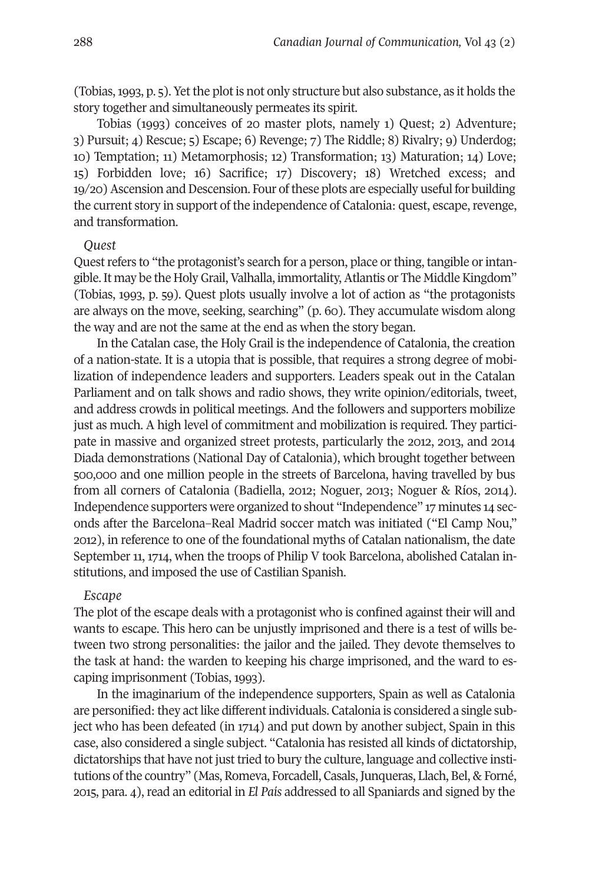(Tobias,1993, p. 5). Yet the plot is not only structure but also substance, as it holds the story together and simultaneously permeates its spirit.

Tobias (1993) conceives of 20 master plots, namely 1) Quest; 2) Adventure; 3) Pursuit; 4) Rescue; 5) Escape; 6) Revenge; 7) The Riddle; 8) Rivalry; 9) Underdog; 10) Temptation; 11) Metamorphosis; 12) Transformation; 13) Maturation; 14) Love; 15) Forbidden love; 16) Sacrifice; 17) Discovery; 18) Wretched excess; and 19/20) Ascension and Descension. Four of these plots are especially useful for building the current story in support of the independence of Catalonia: quest, escape, revenge, and transformation.

#### *Quest*

Quest refers to "the protagonist's search for a person, place or thing, tangible or intangible. It may be the Holy Grail, Valhalla, immortality, Atlantis or The Middle Kingdom" (Tobias, 1993, p. 59). Quest plots usually involve a lot of action as "the protagonists are always on the move, seeking, searching" (p. 60). They accumulate wisdom along the way and are not the same at the end as when the story began.

In the Catalan case, the Holy Grail is the independence of Catalonia, the creation of a nation-state. It is a utopia that is possible, that requires a strong degree of mobilization of independence leaders and supporters. Leaders speak out in the Catalan Parliament and on talk shows and radio shows, they write opinion/editorials, tweet, and address crowds in political meetings. And the followers and supporters mobilize just as much. A high level of commitment and mobilization is required. They participate in massive and organized street protests, particularly the 2012, 2013, and 2014 Diada demonstrations (National Day of Catalonia), which brought together between 500,000 and one million people in the streets of Barcelona, having travelled by bus from all corners of Catalonia (Badiella, 2012; Noguer, 2013; Noguer & Ríos, 2014). Independence supporters were organized to shout "Independence" 17 minutes 14 seconds after the Barcelona–Real Madrid soccer match was initiated ("El Camp Nou," 2012), in reference to one of the foundational myths of Catalan nationalism, the date September 11, 1714, when the troops of Philip V took Barcelona, abolished Catalan institutions, and imposed the use of Castilian Spanish.

## *Escape*

The plot of the escape deals with a protagonist who is confined against their will and wants to escape. This hero can be unjustly imprisoned and there is a test of wills between two strong personalities: the jailor and the jailed. They devote themselves to the task at hand: the warden to keeping his charge imprisoned, and the ward to escaping imprisonment (Tobias, 1993).

In the imaginarium of the independence supporters, Spain as well as Catalonia are personified: they act like different individuals. Catalonia is considered a single subject who has been defeated (in 1714) and put down by another subject, Spain in this case, also considered a single subject. "Catalonia has resisted all kinds of dictatorship, dictatorships that have not just tried to bury the culture, language and collective institutions of the country" (Mas, Romeva, Forcadell, Casals, Junqueras, Llach, Bel, & Forné, 2015, para. 4), read an editorial in *El País* addressed to all Spaniards and signed by the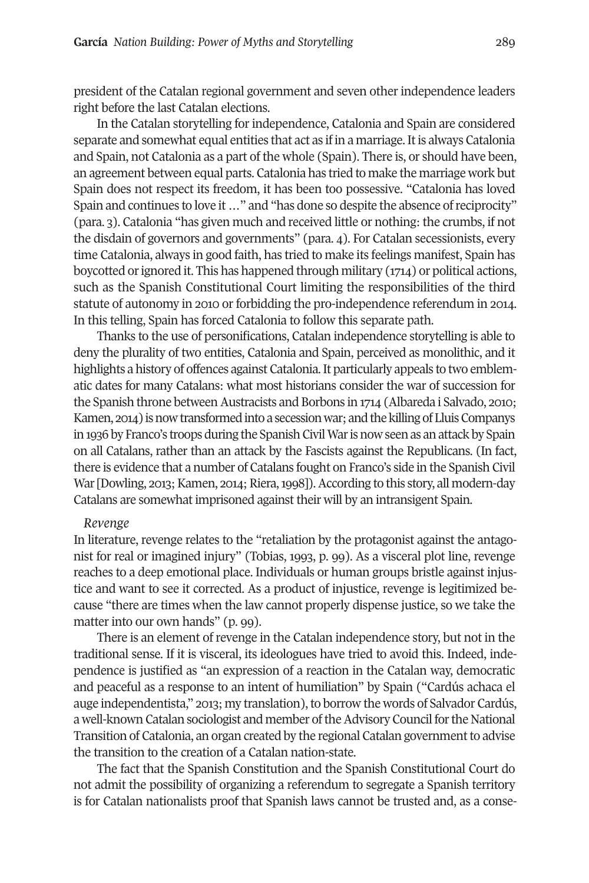president of the Catalan regional government and seven other independence leaders right before the last Catalan elections.

In the Catalan storytelling for independence, Catalonia and Spain are considered separate and somewhat equal entities that act as if in a marriage. It is always Catalonia and Spain, not Catalonia as a part of the whole (Spain). There is, or should have been, an agreement between equal parts. Catalonia has tried to make the marriage work but Spain does not respect its freedom, it has been too possessive. "Catalonia has loved Spain and continues to love it ..." and "has done so despite the absence of reciprocity" (para. 3). Catalonia "has given much and received little or nothing: the crumbs, if not the disdain of governors and governments" (para. 4). For Catalan secessionists, every time Catalonia, always in good faith, has tried to make its feelings manifest, Spain has boycotted orignored it. This has happened through military (1714) or political actions, such as the Spanish Constitutional Court limiting the responsibilities of the third statute of autonomy in 2010 or forbidding the pro-independence referendum in 2014. In this telling, Spain has forced Catalonia to follow this separate path.

Thanks to the use of personifications, Catalan independence storytelling is able to deny the plurality of two entities, Catalonia and Spain, perceived as monolithic, and it highlights a history of offences against Catalonia. It particularly appeals to two emblematic dates for many Catalans: what most historians consider the war of succession for the Spanish throne between Austracists and Borbons in 1714 (Albareda i Salvado, 2010; Kamen, 2014) is now transformed into a secession war; and the killing of Lluis Companys in 1936 by Franco's troops during the Spanish Civil War is now seen as an attack by Spain on all Catalans, rather than an attack by the Fascists against the Republicans. (In fact, there is evidence that a number of Catalans fought on Franco's side in the Spanish Civil War [Dowling, 2013; Kamen, 2014; Riera, 1998]). According to this story, all modern-day Catalans are somewhat imprisoned against their will by an intransigent Spain.

#### *Revenge*

In literature, revenge relates to the "retaliation by the protagonist against the antagonist for real or imagined injury" (Tobias, 1993, p. 99). As a visceral plot line, revenge reaches to a deep emotional place. Individuals or human groups bristle against injustice and want to see it corrected. As a product of injustice, revenge is legitimized because "there are times when the law cannot properly dispense justice, so we take the matter into our own hands" (p. 99).

There is an element of revenge in the Catalan independence story, but not in the traditional sense. If it is visceral, its ideologues have tried to avoid this. Indeed, independence is justified as "an expression of a reaction in the Catalan way, democratic and peaceful as a response to an intent of humiliation" by Spain ("Cardús achaca el auge independentista," 2013; my translation),to borrow the words of Salvador Cardús, a well-known Catalan sociologist and member oftheAdvisory Council forthe National Transition of Catalonia, an organ created by the regional Catalan governmentto advise the transition to the creation of a Catalan nation-state.

The fact that the Spanish Constitution and the Spanish Constitutional Court do not admit the possibility of organizing a referendum to segregate a Spanish territory is for Catalan nationalists proof that Spanish laws cannot be trusted and, as a conse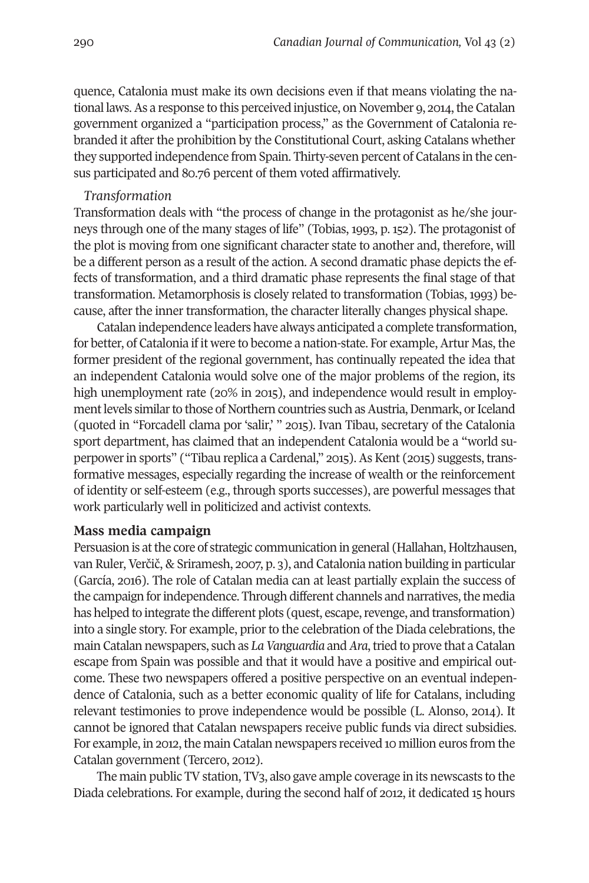quence, Catalonia must make its own decisions even if that means violating the national laws. As a response to this perceived injustice, on November 9, 2014, the Catalan government organized a "participation process," as the Government of Catalonia rebranded it after the prohibition by the Constitutional Court, asking Catalans whether they supported independence from Spain. Thirty-seven percent of Catalans in the census participated and 80.76 percent of them voted affirmatively.

#### *Transformation*

Transformation deals with "the process of change in the protagonist as he/she journeys through one of the many stages of life" (Tobias, 1993, p. 152). The protagonist of the plot is moving from one significant character state to another and, therefore, will be a different person as a result of the action. A second dramatic phase depicts the effects of transformation, and a third dramatic phase represents the final stage of that transformation. Metamorphosis is closely related to transformation (Tobias, 1993) because, after the inner transformation, the character literally changes physical shape.

Catalan independence leaders have always anticipated a complete transformation, for better, of Catalonia if it were to become a nation-state. For example, Artur Mas, the former president of the regional government, has continually repeated the idea that an independent Catalonia would solve one of the major problems of the region, its high unemployment rate (20% in 2015), and independence would result in employment levels similar to those of Northern countries such as Austria, Denmark, or Iceland (quoted in "Forcadell clama por 'salir,' " 2015). Ivan Tibau, secretary of the Catalonia sport department, has claimed that an independent Catalonia would be a "world superpowerin sports" ("Tibau replica a Cardenal," 2015). As Kent (2015) suggests, transformative messages, especially regarding the increase of wealth or the reinforcement of identity or self-esteem (e.g., through sports successes), are powerful messages that work particularly well in politicized and activist contexts.

## **Mass media campaign**

Persuasion is atthe core of strategic communication in general (Hallahan, Holtzhausen, van Ruler, Verčič, & Sriramesh, 2007, p. 3), and Catalonia nation building in particular (García, 2016). The role of Catalan media can at least partially explain the success of the campaign for independence. Through different channels and narratives, the media has helped to integrate the different plots (quest, escape, revenge, and transformation) into a single story. For example, prior to the celebration of the Diada celebrations, the main Catalan newspapers, such as *LaVanguardia* and*Ara*,tried to prove that a Catalan escape from Spain was possible and that it would have a positive and empirical outcome. These two newspapers offered a positive perspective on an eventual independence of Catalonia, such as a better economic quality of life for Catalans, including relevant testimonies to prove independence would be possible (L. Alonso, 2014). It cannot be ignored that Catalan newspapers receive public funds via direct subsidies. For example, in 2012, the main Catalan newspapers received 10 million euros from the Catalan government (Tercero, 2012).

The main public TV station, TV3, also gave ample coverage in its newscasts to the Diada celebrations. For example, during the second half of 2012, it dedicated 15 hours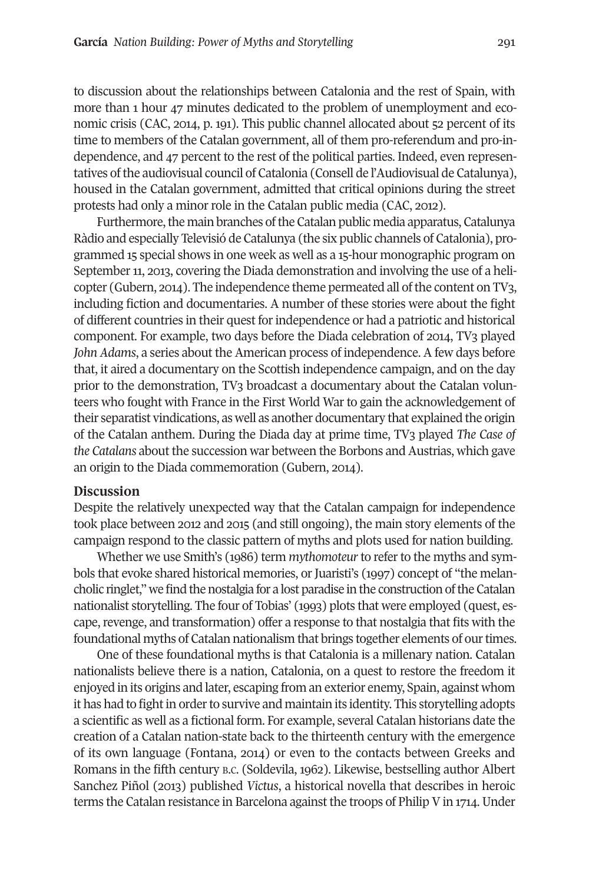to discussion about the relationships between Catalonia and the rest of Spain, with more than 1 hour 47 minutes dedicated to the problem of unemployment and economic crisis (CAC, 2014, p. 191). This public channel allocated about 52 percent of its time to members of the Catalan government, all of them pro-referendum and pro-independence, and 47 percent to the rest of the political parties. Indeed, even representatives of the audiovisual council of Catalonia (Consell de l'Audiovisual de Catalunya), housed in the Catalan government, admitted that critical opinions during the street protests had only a minor role in the Catalan public media (CAC, 2012).

Furthermore, the main branches of the Catalan public media apparatus, Catalunya Ràdio and especially Televisió de Catalunya (the six public channels of Catalonia), programmed 15 special shows in one week as well as a 15-hour monographic program on September 11, 2013, covering the Diada demonstration and involving the use of a helicopter (Gubern, 2014). The independence theme permeated all of the content on TV3, including fiction and documentaries. A number of these stories were about the fight of different countries in their quest for independence or had a patriotic and historical component. For example, two days before the Diada celebration of 2014, TV3 played *John Adams*, a series about the American process of independence. A few days before that, it aired a documentary on the Scottish independence campaign, and on the day prior to the demonstration, TV3 broadcast a documentary about the Catalan volunteers who fought with France in the First World War to gain the acknowledgement of their separatist vindications, as well as another documentary that explained the origin of the Catalan anthem. During the Diada day at prime time, TV3 played *The Case of the Catalans* about the succession war between the Borbons and Austrias, which gave an origin to the Diada commemoration (Gubern, 2014).

#### **Discussion**

Despite the relatively unexpected way that the Catalan campaign for independence took place between 2012 and 2015 (and still ongoing), the main story elements of the campaign respond to the classic pattern of myths and plots used for nation building.

Whether we use Smith's (1986) term *mythomoteur*to refer to the myths and symbols that evoke shared historical memories, or Juaristi's (1997) concept of "the melancholic ringlet," we find the nostalgia for a lost paradise in the construction oftheCatalan nationalist storytelling. The four of Tobias' (1993) plots that were employed (quest, escape, revenge, and transformation) offer a response to that nostalgia that fits with the foundational myths of Catalan nationalism that brings together elements of ourtimes.

One of these foundational myths is that Catalonia is a millenary nation. Catalan nationalists believe there is a nation, Catalonia, on a quest to restore the freedom it enjoyed in its origins and later, escaping from an exterior enemy, Spain, against whom it has had to fight in order to survive and maintain its identity. This storytelling adopts a scientific as well as a fictional form. For example, several Catalan historians date the creation of a Catalan nation-state back to the thirteenth century with the emergence of its own language (Fontana, 2014) or even to the contacts between Greeks and Romans in the fifth century B.C. (Soldevila, 1962). Likewise, bestselling author Albert Sanchez Piñol (2013) published *Victus*, a historical novella that describes in heroic terms the Catalan resistance in Barcelona against the troops of Philip V in 1714. Under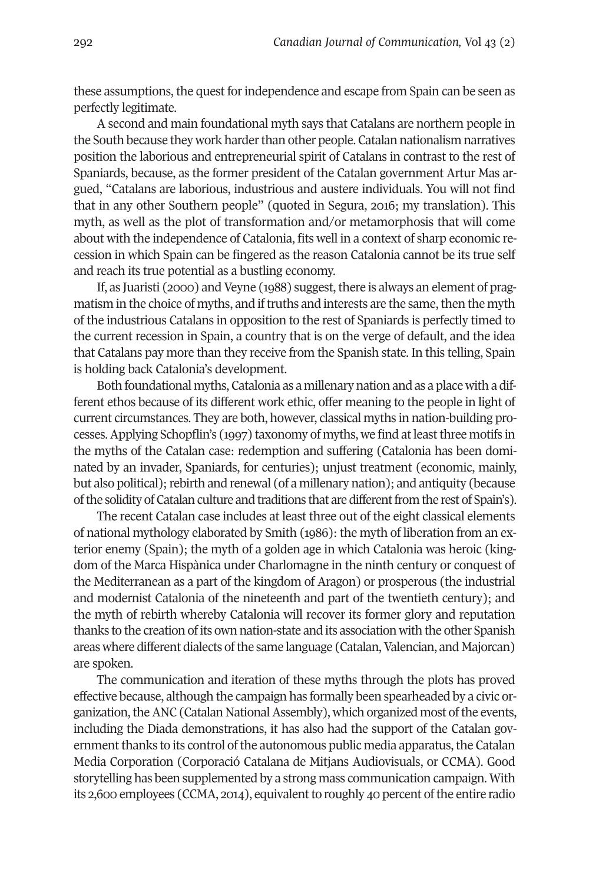these assumptions, the quest forindependence and escape from Spain can be seen as perfectly legitimate.

A second and main foundational myth says that Catalans are northern people in the South because they work harder than other people. Catalan nationalism narratives position the laborious and entrepreneurial spirit of Catalans in contrast to the rest of Spaniards, because, as the former president of the Catalan government Artur Mas argued, "Catalans are laborious, industrious and austere individuals. You will not find that in any other Southern people" (quoted in Segura, 2016; my translation). This myth, as well as the plot of transformation and/or metamorphosis that will come about with the independence of Catalonia, fits well in a context of sharp economic recession in which Spain can be fingered as the reason Catalonia cannot be its true self and reach its true potential as a bustling economy.

If, as Juaristi (2000) and Veyne (1988) suggest, there is always an element of pragmatism in the choice of myths, and if truths and interests are the same, then the myth of the industrious Catalans in opposition to the rest of Spaniards is perfectly timed to the current recession in Spain, a country that is on the verge of default, and the idea that Catalans pay more than they receive from the Spanish state. In this telling, Spain is holding back Catalonia's development.

Both foundational myths, Catalonia as a millenary nation and as a place with a different ethos because of its different work ethic, offer meaning to the people in light of current circumstances. They are both, however, classical myths in nation-building processes.Applying Schopflin's (1997) taxonomy of myths, we find atleastthree motifs in the myths of the Catalan case: redemption and suffering (Catalonia has been dominated by an invader, Spaniards, for centuries); unjust treatment (economic, mainly, but also political); rebirth and renewal (of a millenary nation); and antiquity (because of the solidity of Catalan culture and traditions that are different from the rest of Spain's).

The recent Catalan case includes at least three out of the eight classical elements of national mythology elaborated by Smith (1986): the myth of liberation from an exterior enemy (Spain); the myth of a golden age in which Catalonia was heroic (kingdom of the Marca Hispànica under Charlomagne in the ninth century or conquest of the Mediterranean as a part of the kingdom of Aragon) or prosperous (the industrial and modernist Catalonia of the nineteenth and part of the twentieth century); and the myth of rebirth whereby Catalonia will recover its former glory and reputation thanks to the creation ofits own nation-state and its association with the other Spanish areas where different dialects of the same language (Catalan, Valencian, and Majorcan) are spoken.

The communication and iteration of these myths through the plots has proved effective because, although the campaign has formally been spearheaded by a civic organization, the ANC (Catalan National Assembly), which organized most of the events, including the Diada demonstrations, it has also had the support of the Catalan government thanks to its control of the autonomous public media apparatus, the Catalan Media Corporation (Corporació Catalana de Mitjans Audiovisuals, or CCMA). Good storytelling has been supplemented by a strong mass communication campaign. With its 2,600 employees (CCMA, 2014), equivalent to roughly 40 percent of the entire radio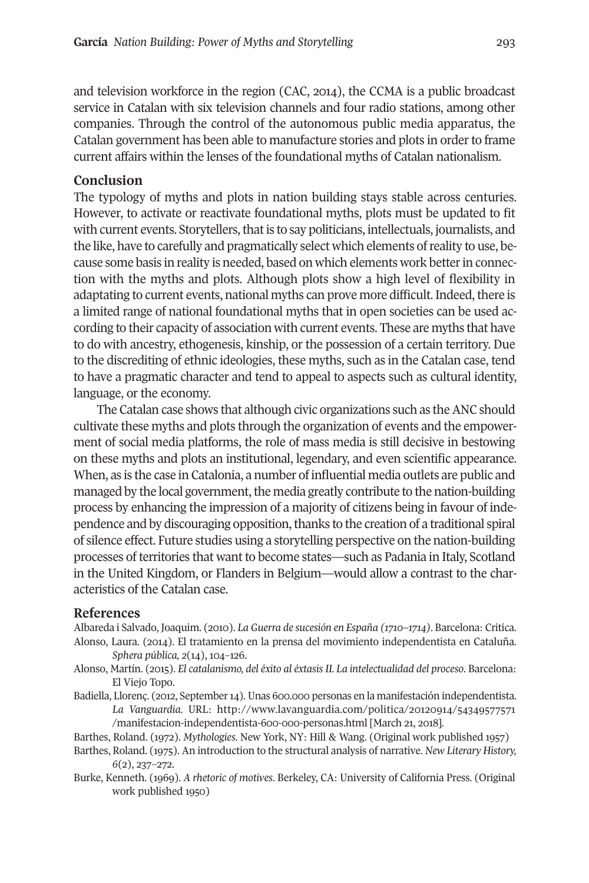and television workforce in the region (CAC, 2014), the CCMA is a public broadcast service in Catalan with six television channels and four radio stations, among other companies. Through the control of the autonomous public media apparatus, the Catalan government has been able to manufacture stories and plots in order to frame current affairs within the lenses of the foundational myths of Catalan nationalism.

## **Conclusion**

The typology of myths and plots in nation building stays stable across centuries. However, to activate or reactivate foundational myths, plots must be updated to fit with current events. Storytellers, that is to say politicians, intellectuals, journalists, and the like, have to carefully and pragmatically select which elements ofreality to use, because some basis in reality is needed, based on which elements work betterin connection with the myths and plots. Although plots show a high level of flexibility in adaptating to current events, national myths can prove more difficult. Indeed, there is a limited range of national foundational myths that in open societies can be used according to their capacity of association with current events. These are myths that have to do with ancestry, ethogenesis, kinship, or the possession of a certain territory. Due to the discrediting of ethnic ideologies, these myths, such as in the Catalan case, tend to have a pragmatic character and tend to appeal to aspects such as cultural identity, language, or the economy.

The Catalan case shows that although civic organizations such as theANC should cultivate these myths and plots through the organization of events and the empowerment of social media platforms, the role of mass media is still decisive in bestowing on these myths and plots an institutional, legendary, and even scientific appearance. When, as is the case in Catalonia, a number of influential media outlets are public and managed by the local government, the media greatly contribute to the nation-building process by enhancing the impression of a majority of citizens being in favour of independence and by discouraging opposition,thanks to the creation of a traditional spiral of silence effect. Future studies using a storytelling perspective on the nation-building processes of territories that want to become states—such as Padania in Italy, Scotland in the United Kingdom, or Flanders in Belgium—would allow a contrast to the characteristics of the Catalan case.

#### **References**

Albareda i Salvado, Joaquim. (2010). *La Guerra de sucesión en España (1710–1714)*. Barcelona: Critica. Alonso, Laura. (2014). El tratamiento en la prensa del movimiento independentista en Cataluña.

*Sphera pública, 2*(14), 104–126.

- Alonso, Martín. (2015). *El catalanismo, del éxito al éxtasis II. La intelectualidad del proceso*. Barcelona: El Viejo Topo.
- Badiella, Llorenç. (2012, September14). Unas 600.000 personas en la manifestación independentista. *La Vanguardia.* URL: [http://www.lavanguardia.com/politica/20120914/54349577571](http://www.lavanguardia.com/politica/20120914/54349577571/manifestacion-independentista-600-000-personas.html) [/manifestacion-independentista-600-000-personas.html](http://www.lavanguardia.com/politica/20120914/54349577571/manifestacion-independentista-600-000-personas.html) [March 21, 2018].
- Barthes, Roland. (1972). *Mythologies*. New York, NY: Hill & Wang. (Original work published 1957)
- Barthes, Roland. (1975). An introduction to the structural analysis of narrative. *New Literary History, 6*(2), 237–272.
- Burke, Kenneth. (1969). *A rhetoric of motives*. Berkeley, CA: University of California Press. (Original work published 1950)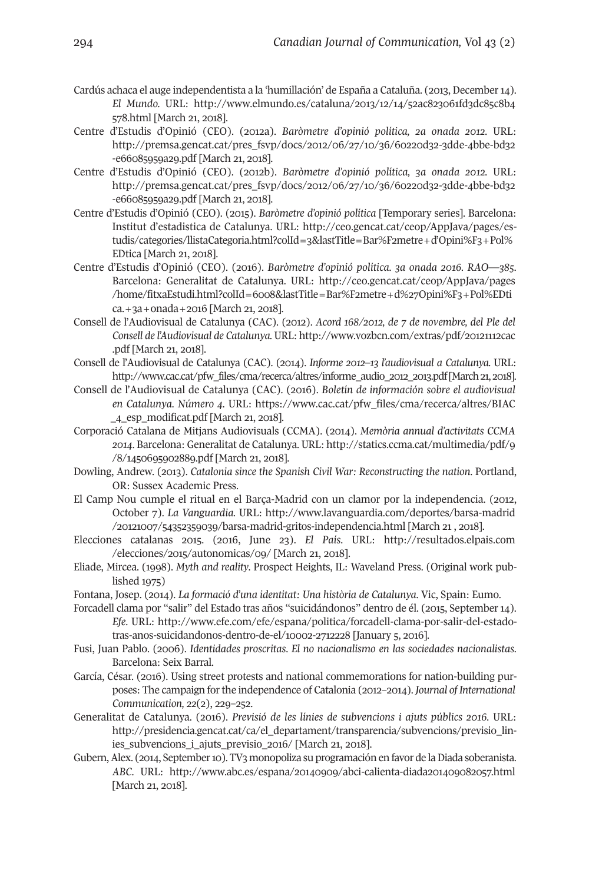- Cardús achaca el auge independentista a la 'humillación' de España a Cataluña. (2013, December14). *El Mundo.* URL: [http://www.elmundo.es/cataluna/2013/12/14/52ac823061fd3dc85c8b4](http://www.elmundo.es/cataluna/2013/12/14/52ac823061fd3dc85c8b4578.html) [578.html](http://www.elmundo.es/cataluna/2013/12/14/52ac823061fd3dc85c8b4578.html) [March 21, 2018].
- Centre d'Estudis d'Opinió (CEO). (2012a). *Baròmetre d'opinió política, 2a onada 2012.* URL: [http://premsa.gencat.cat/pres\\_fsvp/docs/2012/06/27/10/36/60220d32-3dde-4bbe-bd32](http://premsa.gencat.cat/pres_fsvp/docs/2012/06/27/10/36/60220d32-3dde-4bbe-bd32-e66085959a29.pdf) [-e66085959a29.pdf](http://premsa.gencat.cat/pres_fsvp/docs/2012/06/27/10/36/60220d32-3dde-4bbe-bd32-e66085959a29.pdf) [March 21, 2018].
- Centre d'Estudis d'Opinió (CEO). (2012b). *Baròmetre d'opinió política, 3a onada 2012.* URL: [http://premsa.gencat.cat/pres\\_fsvp/docs/2012/06/27/10/36/60220d32-3dde-4bbe-bd32](http://premsa.gencat.cat/pres_fsvp/docs/2012/06/27/10/36/60220d32-3dde-4bbe-bd32-e66085959a29.pdf) [-e66085959a29.pdf](http://premsa.gencat.cat/pres_fsvp/docs/2012/06/27/10/36/60220d32-3dde-4bbe-bd32-e66085959a29.pdf) [March 21, 2018].
- Centre d'Estudis d'Opinió (CEO). (2015). *Baròmetre d'opinió política* [Temporary series]. Barcelona: Institut d'estadistica de Catalunya. URL: [http://ceo.gencat.cat/ceop/AppJava/pages/es](http://ceo.gencat.cat/ceop/AppJava/pages/estudis/categories/llistaCategoria.html?colId=3&lastTitle=Bar%F2metre+d�Opini%F3+Pol%EDtica )[tudis/categories/llistaCategoria.html?colId=3&lastTitle=Bar%F2metre+d'Opini%F3+Pol%](http://ceo.gencat.cat/ceop/AppJava/pages/estudis/categories/llistaCategoria.html?colId=3&lastTitle=Bar%F2metre+d�Opini%F3+Pol%EDtica ) [EDtica](http://ceo.gencat.cat/ceop/AppJava/pages/estudis/categories/llistaCategoria.html?colId=3&lastTitle=Bar%F2metre+d�Opini%F3+Pol%EDtica ) [March 21, 2018].
- Centre d'Estudis d'Opinió (CEO). (2016). *Baròmetre d'opinió política. 3a onada 2016. RAO—385.* Barcelona: Generalitat de Catalunya. URL: [http://ceo.gencat.cat/ceop/AppJava/pages](http://ceo.gencat.cat/ceop/AppJava/pages/home/fitxaEstudi.html?colId=6008&lastTitle=Bar%F2metre+d%27Opini%F3+Pol%EDtica.+3a+onada+2016) [/home/fitxaEstudi.html?colId=6008&lastTitle=Bar%F2metre+d%27Opini%F3+Pol%EDti](http://ceo.gencat.cat/ceop/AppJava/pages/home/fitxaEstudi.html?colId=6008&lastTitle=Bar%F2metre+d%27Opini%F3+Pol%EDtica.+3a+onada+2016) [ca.+3a+onada+2016](http://ceo.gencat.cat/ceop/AppJava/pages/home/fitxaEstudi.html?colId=6008&lastTitle=Bar%F2metre+d%27Opini%F3+Pol%EDtica.+3a+onada+2016) [March 21, 2018].
- Consell de l'Audiovisual de Catalunya (CAC). (2012). *Acord 168/2012, de 7 de novembre, del Ple del Consell de l'Audiovisual de Catalunya.* URL: [http://www.vozbcn.com/extras/pdf/20121112cac](http://www.vozbcn.com/extras/pdf/20121112cac.pdf) [.pdf](http://www.vozbcn.com/extras/pdf/20121112cac.pdf) [March 21, 2018].
- Consell de l'Audiovisual de Catalunya (CAC). (2014). *Informe 2012–13 l'audiovisual a Catalunya.* URL: [http://www.cac.cat/pfw\\_files/cma/recerca/altres/informe\\_audio\\_2012\\_2013.pdf](http://www.cac.cat/pfw_files/cma/recerca/altres/informe_audio_2012_2013.pdf) [March 21, 2018].
- Consell de l'Audiovisual de Catalunya (CAC). (2016). *Boletín de información sobre el audiovisual en Catalunya. Número 4.* URL: [https://www.cac.cat/pfw\\_files/cma/recerca/altres/BIAC](https://www.cac.cat/pfw_files/cma/recerca/altres/BIAC_4_esp_modificat.pdf) [\\_4\\_esp\\_modificat.pdf](https://www.cac.cat/pfw_files/cma/recerca/altres/BIAC_4_esp_modificat.pdf) [March 21, 2018].
- Corporació Catalana de Mitjans Audiovisuals (CCMA). (2014). *Memòria annual d'activitats CCMA 2014*. Barcelona: Generalitat de Catalunya. URL: [http://statics.ccma.cat/multimedia/pdf/9](http://statics.ccma.cat/multimedia/pdf/9/8/1450695902889.pdf) [/8/1450695902889.pdf](http://statics.ccma.cat/multimedia/pdf/9/8/1450695902889.pdf) [March 21, 2018].
- Dowling, Andrew. (2013). *Catalonia since the Spanish Civil War: Reconstructing the nation*. Portland, OR: Sussex Academic Press.
- El Camp Nou cumple el ritual en el Barça-Madrid con un clamor por la independencia. (2012, October 7). *La Vanguardia.* URL: [http://www.lavanguardia.com/deportes/barsa-madrid](http://www.lavanguardia.com/deportes/barsa-madrid/20121007/54352359039/barsa-madrid-gritos-independencia.html) [/20121007/54352359039/barsa-madrid-gritos-independencia.html](http://www.lavanguardia.com/deportes/barsa-madrid/20121007/54352359039/barsa-madrid-gritos-independencia.html) [March 21 , 2018].
- Elecciones catalanas 2015. (2016, June 23). *El País*. URL: [http://resultados.elpais.com](http://resultados.elpais.com/elecciones/2015/autonomicas/09/) [/elecciones/2015/autonomicas/09/](http://resultados.elpais.com/elecciones/2015/autonomicas/09/) [March 21, 2018].
- Eliade, Mircea. (1998). *Myth and reality*. Prospect Heights, IL: Waveland Press. (Original work published 1975)
- Fontana, Josep. (2014). *La formació d'una identitat: Una història de Catalunya*. Vic, Spain: Eumo.
- Forcadell clama por "salir" del Estado tras años "suicidándonos" dentro de él. (2015, September 14). *Efe*. URL: [http://www.efe.com/efe/espana/politica/forcadell-clama-por-salir-del-estado](http://www.efe.com/efe/espana/politica/forcadell-clama-por-salir-del-estado-tras-anos-suicidandonos-dentro-de-el/10002-2712228)[tras-anos-suicidandonos-dentro-de-el/10002-2712228](http://www.efe.com/efe/espana/politica/forcadell-clama-por-salir-del-estado-tras-anos-suicidandonos-dentro-de-el/10002-2712228) [January 5, 2016].
- Fusi, Juan Pablo. (2006). *Identidades proscritas*. *El no nacionalismo en las sociedades nacionalistas*. Barcelona: Seix Barral.
- García, César. (2016). Using street protests and national commemorations for nation-building purposes: The campaign forthe independence of Catalonia (2012–2014). *Journal of International Communication, 22*(2), 229–252.
- Generalitat de Catalunya. (2016). *Previsió de les línies de subvencions i ajuts públics 2016.* URL: [http://presidencia.gencat.cat/ca/el\\_departament/transparencia/subvencions/previsio\\_lin](http://presidencia.gencat.cat/ca/el_departament/transparencia/subvencions/previsio_linies_subvencions_i_ajuts_previsio_2016/)[ies\\_subvencions\\_i\\_ajuts\\_previsio\\_2016/](http://presidencia.gencat.cat/ca/el_departament/transparencia/subvencions/previsio_linies_subvencions_i_ajuts_previsio_2016/) [March 21, 2018].
- Gubern, Alex. (2014, September 10). TV3 monopoliza su programación en favor de la Diada soberanista. *ABC*. URL: [http://www.abc.es/espana/20140909/abci-calienta-diada201409082057.html](http://www.abc.es/espana/20140909/abci-calienta-diada-201409082057.html) [March 21, 2018].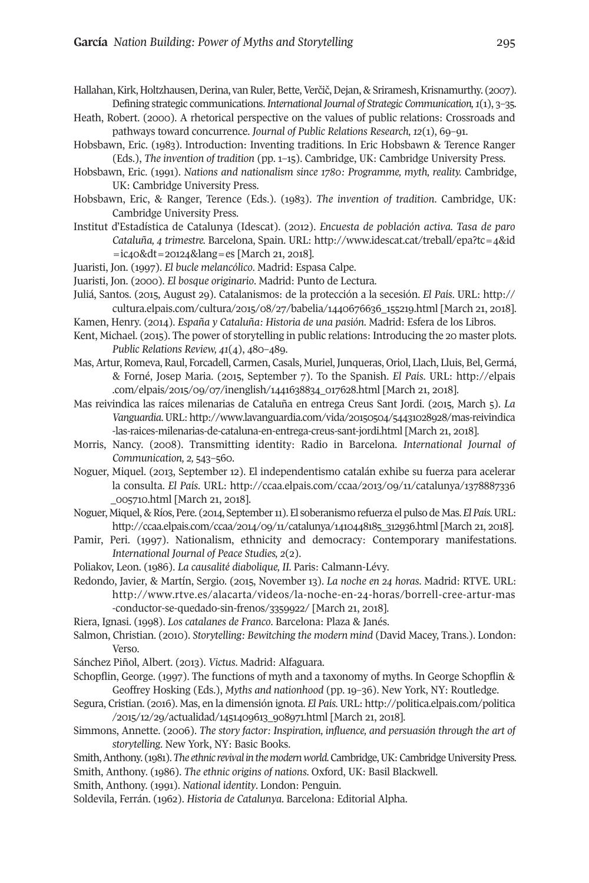- Hallahan, Kirk, Holtzhausen, Derina, van Ruler, Bette, Verčič, Dejan, & Sriramesh, Krisnamurthy. (2007). Defining strategic communications. *International Journal of Strategic Communication,1*(1), 3–35.
- Heath, Robert. (2000). A rhetorical perspective on the values of public relations: Crossroads and pathways toward concurrence. *Journal of Public Relations Research, 12*(1), 69–91.
- Hobsbawn, Eric. (1983). Introduction: Inventing traditions. In Eric Hobsbawn & Terence Ranger (Eds.), *The invention of tradition* (pp. 1–15). Cambridge, UK: Cambridge University Press.
- Hobsbawn, Eric. (1991). *Nations and nationalism since 1780: Programme, myth, reality.* Cambridge, UK: Cambridge University Press.
- Hobsbawn, Eric, & Ranger, Terence (Eds.). (1983). *The invention of tradition*. Cambridge, UK: Cambridge University Press.
- Institut d'Estadística de Catalunya (Idescat). (2012). *Encuesta de población activa. Tasa de paro Cataluña, 4 trimestre.* Barcelona, Spain. URL: [http://www.idescat.cat/treball/epa?tc=4&id](http://www.idescat.cat/treball/epa?tc=4&id=ic40&dt=20124&lang=es) [=ic40&dt=20124&lang=es](http://www.idescat.cat/treball/epa?tc=4&id=ic40&dt=20124&lang=es) [March 21, 2018].
- Juaristi, Jon. (1997). *El bucle melancólico*. Madrid: Espasa Calpe.
- Juaristi, Jon. (2000). *El bosque originario*. Madrid: Punto de Lectura.
- Juliá, Santos. (2015, August 29). Catalanismos: de la protección a la secesión. *El País*. URL: [http://](http://cultura.elpais.com/cultura/2015/08/27/babelia/1440676636_155219.html) [cultura.elpais.com/cultura/2015/08/27/babelia/1440676636\\_155219.html](http://cultura.elpais.com/cultura/2015/08/27/babelia/1440676636_155219.html) [March 21, 2018].
- Kamen, Henry. (2014). *España y Cataluña: Historia de una pasión*. Madrid: Esfera de los Libros.
- Kent, Michael. (2015). The power of storytelling in public relations: Introducing the 20 master plots. *Public Relations Review, 41*(4), 480–489.
- Mas,Artur, Romeva, Raul, Forcadell, Carmen, Casals, Muriel, Junqueras, Oriol, Llach, Lluis, Bel, Germá, & Forné, Josep Maria. (2015, September 7). To the Spanish. *El País*. URL: [http://elpais](http://elpais.com/elpais/2015/09/07/inenglish/1441638834_017628.html) [.com/elpais/2015/09/07/inenglish/1441638834\\_017628.html](http://elpais.com/elpais/2015/09/07/inenglish/1441638834_017628.html) [March 21, 2018].
- Mas reivindica las raíces milenarias de Cataluña en entrega Creus Sant Jordi. (2015, March 5). *La Vanguardia*.URL: [http://www.lavanguardia.com/vida/20150504/54431028928/mas-reivindica](http://www.lavanguardia.com/vida/20150504/54431028928/mas-reivindica-las-raices-milenarias-de-cataluna-en-entrega-creus-sant-jordi.html) [-las-raices-milenarias-de-cataluna-en-entrega-creus-sant-jordi.html](http://www.lavanguardia.com/vida/20150504/54431028928/mas-reivindica-las-raices-milenarias-de-cataluna-en-entrega-creus-sant-jordi.html) [March 21, 2018].
- Morris, Nancy. (2008). Transmitting identity: Radio in Barcelona. *International Journal of Communication, 2,* 543–560.
- Noguer, Miquel. (2013, September 12). El independentismo catalán exhibe su fuerza para acelerar la consulta. *El País*. URL: [http://ccaa.elpais.com/ccaa/2013/09/11/catalunya/1378887336](http://ccaa.elpais.com/ccaa/2013/09/11/catalunya/1378887336_005710.html) [\\_005710.html](http://ccaa.elpais.com/ccaa/2013/09/11/catalunya/1378887336_005710.html) [March 21, 2018].
- Noguer, Miquel, & Ríos, Pere. (2014, September 11). El soberanismo refuerza el pulso de Mas. *El País*. URL: [http://ccaa.elpais.com/ccaa/2014/09/11/catalunya/1410448185\\_312936.html](http://ccaa.elpais.com/ccaa/2014/09/11/catalunya/1410448185_312936.html) [March 21, 2018].
- Pamir, Peri. (1997). Nationalism, ethnicity and democracy: Contemporary manifestations. *International Journal of Peace Studies, 2*(2).
- Poliakov, Leon. (1986). *La causalité diabolique, II.* Paris: Calmann-Lévy.
- Redondo, Javier, & Martín, Sergio. (2015, November 13). *La noche en 24 horas*. Madrid: RTVE. URL: [http://www.rtve.es/alacarta/videos/la-noche-en-24-horas/borrell-cree-artur-mas](http://www.rtve.es/alacarta/videos/la-noche-en-24-horas/borrell-cree-artur-mas-conductor-se-quedado-sin-frenos/3359922/) [-conductor-se-quedado-sin-frenos/3359922/](http://www.rtve.es/alacarta/videos/la-noche-en-24-horas/borrell-cree-artur-mas-conductor-se-quedado-sin-frenos/3359922/) [March 21, 2018].
- Riera, Ignasi. (1998). *Los catalanes de Franco*. Barcelona: Plaza & Janés.
- Salmon, Christian. (2010). *Storytelling: Bewitching the modern mind* (David Macey, Trans.). London: Verso.
- Sánchez Piñol, Albert. (2013). *Victus*. Madrid: Alfaguara.
- Schopflin, George. (1997). The functions of myth and a taxonomy of myths. In George Schopflin & Geoffrey Hosking (Eds.), *Myths and nationhood* (pp. 19–36). New York, NY: Routledge.
- Segura, Cristian. (2016). Mas, en la dimensión ignota. *El País*. URL: [http://politica.elpais.com/politica](http://politica.elpais.com/politica/2015/12/29/actualidad/1451409613_908971.html) [/2015/12/29/actualidad/1451409613\\_908971.html](http://politica.elpais.com/politica/2015/12/29/actualidad/1451409613_908971.html) [March 21, 2018].
- Simmons, Annette. (2006). *The story factor: Inspiration, influence, and persuasión through the art of storytelling*. New York, NY: Basic Books.
- Smith, Anthony. (1981). *The ethnic revival in the modern world*. Cambridge, UK: Cambridge University Press.
- Smith, Anthony. (1986). *The ethnic origins of nations*. Oxford, UK: Basil Blackwell.
- Smith, Anthony. (1991). *National identity*. London: Penguin.
- Soldevila, Ferrán. (1962). *Historia de Catalunya*. Barcelona: Editorial Alpha.